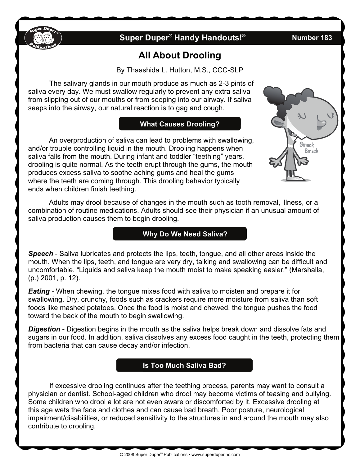

# **Super Duper® Handy Handouts!® Number 183**

# **All About Drooling**

By Thaashida L. Hutton, M.S., CCC-SLP

The salivary glands in our mouth produce as much as 2-3 pints of saliva every day. We must swallow regularly to prevent any extra saliva from slipping out of our mouths or from seeping into our airway. If saliva seeps into the airway, our natural reaction is to gag and cough.

### **What Causes Drooling?**

An overproduction of saliva can lead to problems with swallowing, and/or trouble controlling liquid in the mouth. Drooling happens when saliva falls from the mouth. During infant and toddler "teething" years, drooling is quite normal. As the teeth erupt through the gums, the mouth produces excess saliva to soothe aching gums and heal the gums where the teeth are coming through. This drooling behavior typically ends when children finish teething.



Adults may drool because of changes in the mouth such as tooth removal, illness, or a combination of routine medications. Adults should see their physician if an unusual amount of saliva production causes them to begin drooling.

# **Why Do We Need Saliva?**

*Speech* - Saliva lubricates and protects the lips, teeth, tongue, and all other areas inside the mouth. When the lips, teeth, and tongue are very dry, talking and swallowing can be difficult and uncomfortable. "Liquids and saliva keep the mouth moist to make speaking easier." (Marshalla, (p.) 2001, p. 12).

*Eating* - When chewing, the tongue mixes food with saliva to moisten and prepare it for swallowing. Dry, crunchy, foods such as crackers require more moisture from saliva than soft foods like mashed potatoes. Once the food is moist and chewed, the tongue pushes the food toward the back of the mouth to begin swallowing.

*Digestion* - Digestion begins in the mouth as the saliva helps break down and dissolve fats and sugars in our food. In addition, saliva dissolves any excess food caught in the teeth, protecting them from bacteria that can cause decay and/or infection.

### **Is Too Much Saliva Bad?**

 If excessive drooling continues after the teething process, parents may want to consult a physician or dentist. School-aged children who drool may become victims of teasing and bullying. Some children who drool a lot are not even aware or discomforted by it. Excessive drooling at this age wets the face and clothes and can cause bad breath. Poor posture, neurological impairment/disabilities, or reduced sensitivity to the structures in and around the mouth may also contribute to drooling.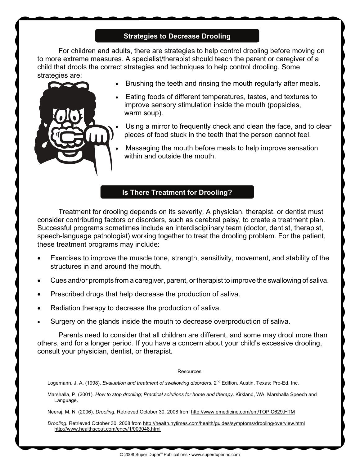### **Strategies to Decrease Drooling**

 For children and adults, there are strategies to help control drooling before moving on to more extreme measures. A specialist/therapist should teach the parent or caregiver of a child that drools the correct strategies and techniques to help control drooling. Some strategies are:



- -Brushing the teeth and rinsing the mouth regularly after meals.
- - Eating foods of different temperatures, tastes, and textures to improve sensory stimulation inside the mouth (popsicles, warm soup).
- - Using a mirror to frequently check and clean the face, and to clear pieces of food stuck in the teeth that the person cannot feel.
- - Massaging the mouth before meals to help improve sensation within and outside the mouth.

#### **Is There Treatment for Drooling?**

 Treatment for drooling depends on its severity. A physician, therapist, or dentist must consider contributing factors or disorders, such as cerebral palsy, to create a treatment plan. Successful programs sometimes include an interdisciplinary team (doctor, dentist, therapist, speech-language pathologist) working together to treat the drooling problem. For the patient, these treatment programs may include:

- $\bullet$  Exercises to improve the muscle tone, strength, sensitivity, movement, and stability of the structures in and around the mouth.
- $\bullet$ Cues and/or prompts from a caregiver, parent, or therapist to improve the swallowing of saliva.
- $\bullet$ Prescribed drugs that help decrease the production of saliva.
- $\bullet$ Radiation therapy to decrease the production of saliva.
- -Surgery on the glands inside the mouth to decrease overproduction of saliva.

 Parents need to consider that all children are different, and some may drool more than others, and for a longer period. If you have a concern about your child's excessive drooling, consult your physician, dentist, or therapist.

#### **Resources**

Logemann, J. A. (1998). *Evaluation and treatment of swallowing disorders*. 2<sup>nd</sup> Edition. Austin, Texas: Pro-Ed, Inc.

Marshalla, P. (2001). *How to stop drooling; Practical solutions for home and therapy*. Kirkland, WA: Marshalla Speech and Language.

Neeraj, M. N. (2006). *Drooling.* Retrieved October 30, 2008 from http://www.emedicine.com/ent/TOPIC629.HTM

*Drooling*. Retrieved October 30, 2008 from http://health.nytimes.com/health/guides/symptoms/drooling/overview.html http://www.healthscout.com/ency/1/003048.html